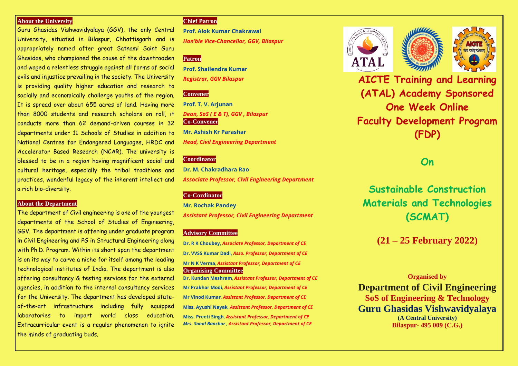# **About the University**

Guru Ghasidas Vishwavidyalaya (GGV), the only Central University, situated in Bilaspur, Chhattisgarh and is appropriately named after great Satnami Saint Guru Ghasidas, who championed the cause of the downtrodden and waged a relentless struggle against all forms of social evils and injustice prevailing in the society. The University is providing quality higher education and research to socially and economically challenge youths of the region. It is spread over about 655 acres of land. Having more than 8000 students and research scholars on roll, it conducts more than 62 demand-driven courses in 32 departments under 11 Schools of Studies in addition to National Centres for Endangered Languages, HRDC and Accelerator Based Research (NCAR). The university is blessed to be in a region having magnificent social and cultural heritage, especially the tribal traditions and practices, wonderful legacy of the inherent intellect and a rich bio-diversity.

### **About the Department**

The department of Civil engineering is one of the youngest departments of the School of Studies of Engineering, GGV. The department is offering under graduate program in Civil Engineering and PG in Structural Engineering along with Ph.D. Program. Within its short span the department is on its way to carve a niche for itself among the leading technological institutes of India. The department is also offering consultancy & testing services for the external agencies, in addition to the internal consultancy services for the University. The department has developed stateof-the-art infrastructure including fully equipped laboratories to impart world class education. Extracurricular event is a regular phenomenon to ignite the minds of graduating buds.

# **Chief Patron**

**Prof. Alok Kumar Chakrawal** *Hon'ble Vice-Chancellor, GGV, Bilaspur*

# **Patron**

**Prof. Shailendra Kumar** *Registrar, GGV Bilaspur*

# **Convener**

**Prof. T. V. Arjunan** *Dean, SoS ( E & T), GGV , Bilaspur* **Co-Convener Mr. Ashish Kr Parashar** *Head, Civil Engineering Department*

## **Coordinator**

**Dr. M. Chakradhara Rao** *Associate Professor, Civil Engineering Department*

# **Co-Cordinator**

**Mr. Rochak Pandey** *Assistant Professor, Civil Engineering Department*

#### **Advisory Committee**

**Dr. R K Choubey,** *Associate Professor, Department of CE* **Dr. VVSS Kumar Dadi,** *Asso. Professor, Department of CE* **Mr N K Verma**, *Assistant Professor, Department of CE* **Organising Committee Dr. Kundan Meshram**, *Assistant Professor, Department of CE* **Mr Prakhar Modi**, *Assistant Professor, Department of CE* **Mr Vinod Kumar**, *Assistant Professor, Department of CE* **Miss. Ayushi Nayak**, *Assistant Professor, Department of CE* **Miss. Preeti Singh**, *Assistant Professor, Department of CE Mrs. Sonal Banchor , Assistant Professor, Department of CE*





**AICTE Training and Learning (ATAL) Academy Sponsored One Week Online Faculty Development Program (FDP)**

**On**

**Sustainable Construction Materials and Technologies (SCMAT)**

# **(21 – 25 February 2022)**

# **Organised by**

**Department of Civil Engineering SoS of Engineering & Technology Guru Ghasidas Vishwavidyalaya (A Central University) Bilaspur- 495 009 (C.G.)**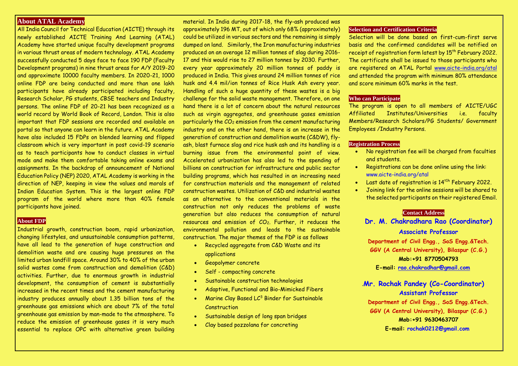## **About ATAL Academy**

All India Council for Technical Education (AICTE) through its newly established AICTE Training And Learning (ATAL) Academy have started unique faculty development programs in various thrust areas of modern technology. ATAL Academy successfully conducted 5 days face to face 190 FDP (Faculty Development programs) in nine thrust areas for A/Y 2019-20 and approximate 10000 faculty members. In 2020-21, 1000 online FDP are being conducted and more than one lakh participants have already participated including faculty, Research Scholar, PG students, CBSE teachers and Industry persons. The online FDP of 20-21 has been recognized as a world record by World Book of Record, London. This is also important that FDP sessions are recorded and available on portal so that anyone can learn in the future. ATAL Academy have also included 15 FDPs on blended learning and flipped classroom which is very important in post covid-19 scenario as to teach participants how to conduct classes in virtual mode and make them comfortable taking online exams and assignments. In the backdrop of announcement of National Education Policy (NEP) 2020, ATAL Academy is working in the direction of NEP, keeping in view the values and morals of Indian Education System. This is the largest online FDP program of the world where more than 40% female participants have joined.

#### **About FDP**

Industrial growth, construction boom, rapid urbanization, changing lifestyles, and unsustainable consumption patterns, have all lead to the generation of huge construction and demolition waste and are causing huge pressures on the limited urban landfill space. Around 30% to 40% of the urban solid wastes come from construction and demolition (C&D) activities. Further, due to enormous growth in industrial development, the consumption of cement is substantially increased in the recent times and the cement manufacturing industry produces annually about 1.35 billion tons of the greenhouse gas emissions which are about 7% of the total greenhouse gas emission by man-made to the atmosphere. To reduce the emission of greenhouse gases it is very much essential to replace OPC with alternative green building

material. In India during 2017-18, the fly-ash produced was approximately 196 MT, out of which only 68% (approximately) could be utilized in various sectors and the remaining is simply dumped on land. Similarly, the Iron manufacturing industries produced on an average 12 million tonnes of slag during 2016- 17 and this would rise to 27 million tonnes by 2030. Further, every year approximately 20 million tonnes of paddy is produced in India. This gives around 24 million tonnes of rice husk and 4.4 mil/ion tonnes of Rice Husk Ash every year. Handling of such a huge quantity of these wastes is a big challenge for the solid waste management. Therefore, on one hand there is a lot of concern about the natural resources such as virgin aggregates, and greenhouse gases emission particularly the CO<sup>2</sup> emission from the cement manufacturing industry and on the other hand, there is an increase in the generation of construction and demolition waste (C&DW), flyash, blast furnace slag and rice husk ash and its handling is a burning issue from the environmental point of view. Accelerated urbanization has also led to the spending of billions on construction for infrastructure and public sector building programs, which has resulted in an increasing need for construction materials and the management of related construction wastes. Utilization of C&D and industrial wastes as an alternative to the conventional materials in the construction not only reduces the problems of waste generation but also reduces the consumption of natural resources and emission of CO<sub>2</sub>. Further, it reduces the environmental pollution and leads to the sustainable construction. The major themes of the FDP is as follows

- Recycled aggregate from C&D Waste and its applications
- Geopolymer concrete
- Self compacting concrete
- Sustainable construction technologies
- Adaptive, Functional and Bio-Mimicked Fibers
- **Marine Clay Based LC<sup>3</sup> Binder for Sustainable Construction**
- Sustainable design of long span bridges
- Clay based pozzolana for concreting

## **Selection and Certification Criteria**

Selection will be done based on first-cum-first serve basis and the confirmed candidates will be notified on receipt of registration form latest by 15<sup>th</sup> February 2022. The certificate shall be issued to those participants who are registered on ATAL Portal [www.aicte-india.org/atal](http://www.aicte-india.org/atal) and attended the program with minimum 80% attendance and score minimum 60% marks in the test.

#### **Who can Participate**

The program is open to all members of AICTE/UGC Affiliated Institutes/Universities i.e. faculty Members/Research Scholars/PG Students/ Government Employees /Industry Persons.

#### **Registration Process**

- No registration fee will be charged from faculties and students.
- Registrations can be done online using the link: www.aicte-india.org/atal
- Last date of registration is 14<sup>th</sup> February 2022.
- Joining link for the online sessions will be shared to the selected participants on their registered Email.

#### .**Contact Address**

**Dr. M. Chakradhara Rao (Coordinator) Associate Professor** 

**Department of Civil Engg., SoS Engg.&Tech. GGV (A Central University), Bilaspur (C.G.) Mob:+91 8770504793 E-mail: [rao.chakradhar@gmail.com](mailto:rao.chakradhar@gmail.com)**

# .**Mr. Rochak Pandey (Co-Coordinator) Assistant Professor**

**Department of Civil Engg., SoS Engg.&Tech. GGV (A Central University), Bilaspur (C.G.) Mob:+91 9630463707 E-mail: rochak0212@gmail.com**